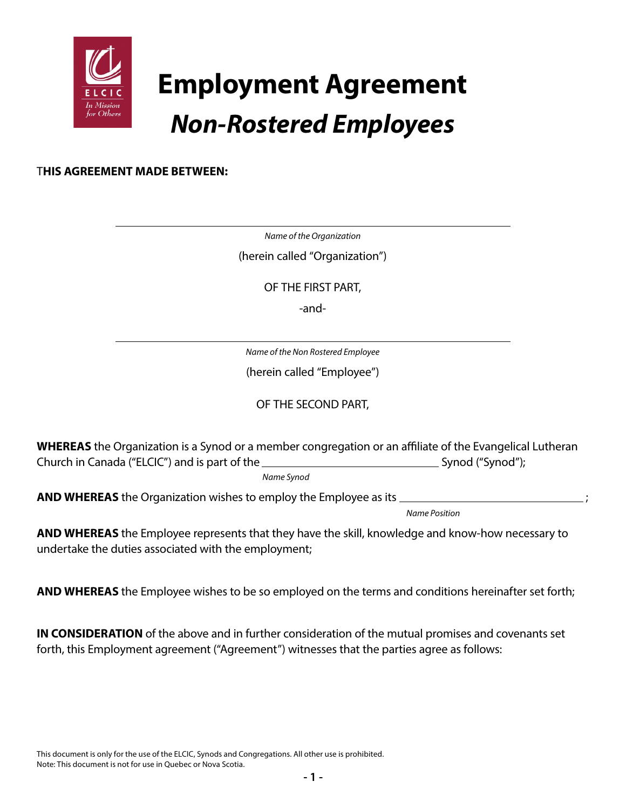

# **Employment Agreement** *Non-Rostered Employees*

# T**HIS AGREEMENT MADE BETWEEN:**

*Name of the Organization*

(herein called "Organization")

OF THE FIRST PART,

-and-

*Name of the Non Rostered Employee*

(herein called "Employee")

OF THE SECOND PART,

**WHEREAS** the Organization is a Synod or a member congregation or an affiliate of the Evangelical Lutheran Church in Canada ("ELCIC") and is part of the Synod ("Synod"); Synod ("Synod");

*Name Synod*

**AND WHEREAS** the Organization wishes to employ the Employee as its \_

*Name Position*

**AND WHEREAS** the Employee represents that they have the skill, knowledge and know-how necessary to undertake the duties associated with the employment;

**AND WHEREAS** the Employee wishes to be so employed on the terms and conditions hereinafter set forth;

**IN CONSIDERATION** of the above and in further consideration of the mutual promises and covenants set forth, this Employment agreement ("Agreement") witnesses that the parties agree as follows: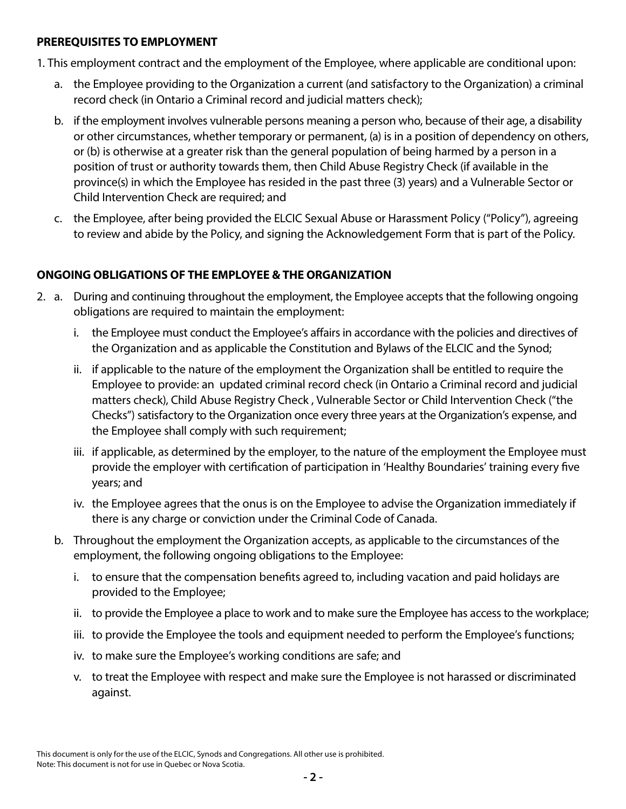## **PREREQUISITES TO EMPLOYMENT**

1. This employment contract and the employment of the Employee, where applicable are conditional upon:

- a. the Employee providing to the Organization a current (and satisfactory to the Organization) a criminal record check (in Ontario a Criminal record and judicial matters check);
- b. if the employment involves vulnerable persons meaning a person who, because of their age, a disability or other circumstances, whether temporary or permanent, (a) is in a position of dependency on others, or (b) is otherwise at a greater risk than the general population of being harmed by a person in a position of trust or authority towards them, then Child Abuse Registry Check (if available in the province(s) in which the Employee has resided in the past three (3) years) and a Vulnerable Sector or Child Intervention Check are required; and
- c. the Employee, after being provided the ELCIC Sexual Abuse or Harassment Policy ("Policy"), agreeing to review and abide by the Policy, and signing the Acknowledgement Form that is part of the Policy.

# **ONGOING OBLIGATIONS OF THE EMPLOYEE & THE ORGANIZATION**

- 2. a. During and continuing throughout the employment, the Employee accepts that the following ongoing obligations are required to maintain the employment:
	- i. the Employee must conduct the Employee's affairs in accordance with the policies and directives of the Organization and as applicable the Constitution and Bylaws of the ELCIC and the Synod;
	- ii. if applicable to the nature of the employment the Organization shall be entitled to require the Employee to provide: an updated criminal record check (in Ontario a Criminal record and judicial matters check), Child Abuse Registry Check , Vulnerable Sector or Child Intervention Check ("the Checks") satisfactory to the Organization once every three years at the Organization's expense, and the Employee shall comply with such requirement;
	- iii. if applicable, as determined by the employer, to the nature of the employment the Employee must provide the employer with certification of participation in 'Healthy Boundaries' training every five years; and
	- iv. the Employee agrees that the onus is on the Employee to advise the Organization immediately if there is any charge or conviction under the Criminal Code of Canada.
	- b. Throughout the employment the Organization accepts, as applicable to the circumstances of the employment, the following ongoing obligations to the Employee:
		- i. to ensure that the compensation benefits agreed to, including vacation and paid holidays are provided to the Employee;
		- ii. to provide the Employee a place to work and to make sure the Employee has access to the workplace;
		- iii. to provide the Employee the tools and equipment needed to perform the Employee's functions;
		- iv. to make sure the Employee's working conditions are safe; and
		- v. to treat the Employee with respect and make sure the Employee is not harassed or discriminated against.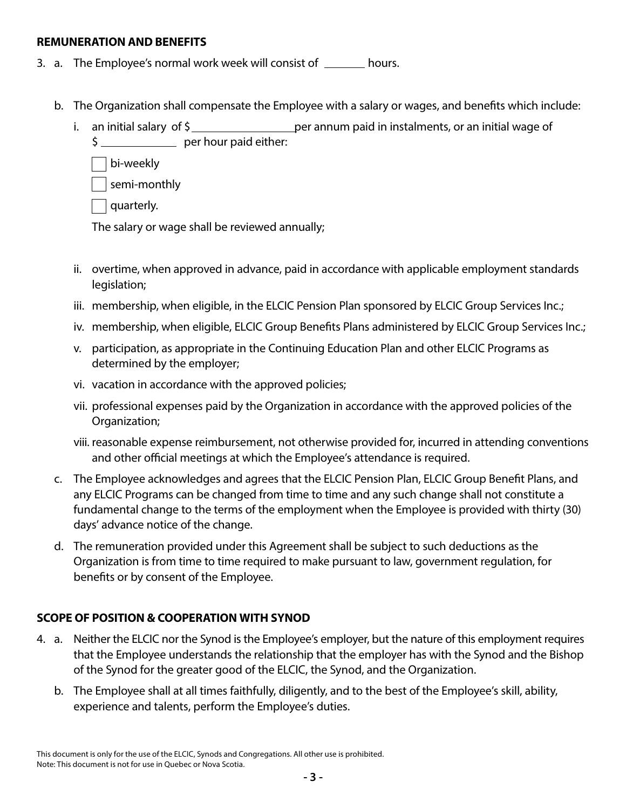#### **REMUNERATION AND BENEFITS**

- 3. a. The Employee's normal work week will consist of \_\_\_\_\_\_ hours.
	- b. The Organization shall compensate the Employee with a salary or wages, and benefits which include:
		- i. an initial salary of  $\frac{1}{2}$  per annum paid in instalments, or an initial wage of \$ per hour paid either:

bi-weekly

semi-monthly

quarterly.

The salary or wage shall be reviewed annually;

- ii. overtime, when approved in advance, paid in accordance with applicable employment standards legislation;
- iii. membership, when eligible, in the ELCIC Pension Plan sponsored by ELCIC Group Services Inc.;
- iv. membership, when eligible, ELCIC Group Benefits Plans administered by ELCIC Group Services Inc.;
- v. participation, as appropriate in the Continuing Education Plan and other ELCIC Programs as determined by the employer;
- vi. vacation in accordance with the approved policies;
- vii. professional expenses paid by the Organization in accordance with the approved policies of the Organization;
- viii. reasonable expense reimbursement, not otherwise provided for, incurred in attending conventions and other official meetings at which the Employee's attendance is required.
- c. The Employee acknowledges and agrees that the ELCIC Pension Plan, ELCIC Group Benefit Plans, and any ELCIC Programs can be changed from time to time and any such change shall not constitute a fundamental change to the terms of the employment when the Employee is provided with thirty (30) days' advance notice of the change.
- d. The remuneration provided under this Agreement shall be subject to such deductions as the Organization is from time to time required to make pursuant to law, government regulation, for benefits or by consent of the Employee.

# **SCOPE OF POSITION & COOPERATION WITH SYNOD**

- 4. a. Neither the ELCIC nor the Synod is the Employee's employer, but the nature of this employment requires that the Employee understands the relationship that the employer has with the Synod and the Bishop of the Synod for the greater good of the ELCIC, the Synod, and the Organization.
	- b. The Employee shall at all times faithfully, diligently, and to the best of the Employee's skill, ability, experience and talents, perform the Employee's duties.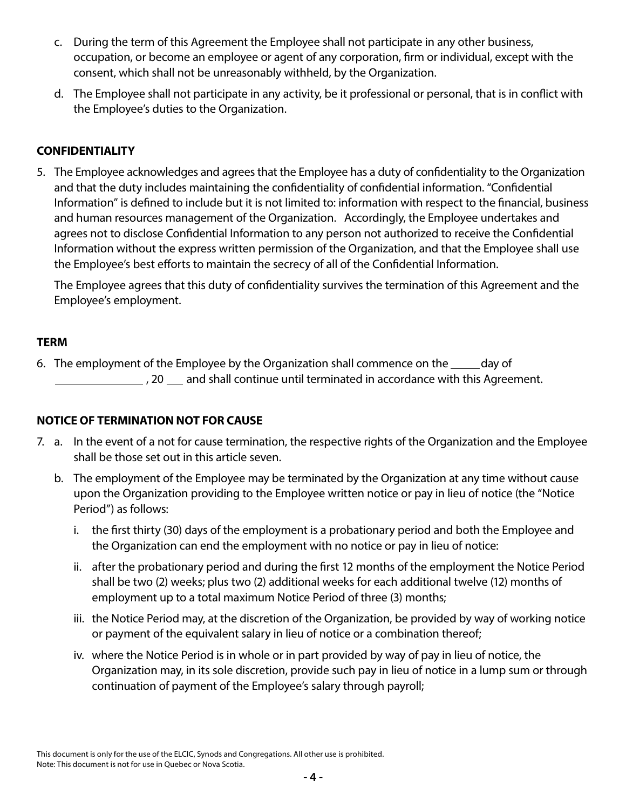- c. During the term of this Agreement the Employee shall not participate in any other business, occupation, or become an employee or agent of any corporation, firm or individual, except with the consent, which shall not be unreasonably withheld, by the Organization.
- d. The Employee shall not participate in any activity, be it professional or personal, that is in conflict with the Employee's duties to the Organization.

# **CONFIDENTIALITY**

5. The Employee acknowledges and agrees that the Employee has a duty of confidentiality to the Organization and that the duty includes maintaining the confidentiality of confidential information. "Confidential Information" is defined to include but it is not limited to: information with respect to the financial, business and human resources management of the Organization. Accordingly, the Employee undertakes and agrees not to disclose Confidential Information to any person not authorized to receive the Confidential Information without the express written permission of the Organization, and that the Employee shall use the Employee's best efforts to maintain the secrecy of all of the Confidential Information.

The Employee agrees that this duty of confidentiality survives the termination of this Agreement and the Employee's employment.

## **TERM**

6. The employment of the Employee by the Organization shall commence on the same day of , 20 and shall continue until terminated in accordance with this Agreement.

## **NOTICE OF TERMINATION NOT FOR CAUSE**

- 7. a. In the event of a not for cause termination, the respective rights of the Organization and the Employee shall be those set out in this article seven.
	- b. The employment of the Employee may be terminated by the Organization at any time without cause upon the Organization providing to the Employee written notice or pay in lieu of notice (the "Notice Period") as follows:
		- i. the first thirty (30) days of the employment is a probationary period and both the Employee and the Organization can end the employment with no notice or pay in lieu of notice:
		- ii. after the probationary period and during the first 12 months of the employment the Notice Period shall be two (2) weeks; plus two (2) additional weeks for each additional twelve (12) months of employment up to a total maximum Notice Period of three (3) months;
		- iii. the Notice Period may, at the discretion of the Organization, be provided by way of working notice or payment of the equivalent salary in lieu of notice or a combination thereof;
		- iv. where the Notice Period is in whole or in part provided by way of pay in lieu of notice, the Organization may, in its sole discretion, provide such pay in lieu of notice in a lump sum or through continuation of payment of the Employee's salary through payroll;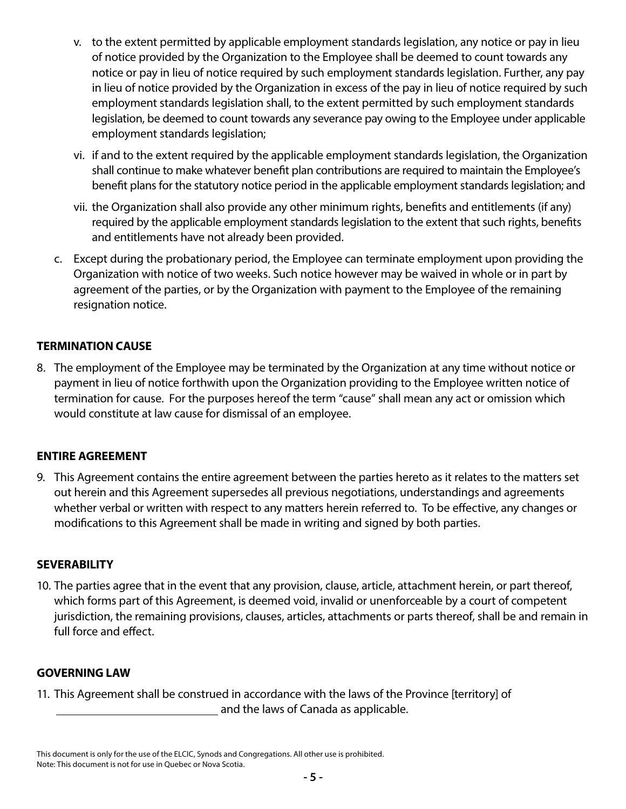- v. to the extent permitted by applicable employment standards legislation, any notice or pay in lieu of notice provided by the Organization to the Employee shall be deemed to count towards any notice or pay in lieu of notice required by such employment standards legislation. Further, any pay in lieu of notice provided by the Organization in excess of the pay in lieu of notice required by such employment standards legislation shall, to the extent permitted by such employment standards legislation, be deemed to count towards any severance pay owing to the Employee under applicable employment standards legislation;
- vi. if and to the extent required by the applicable employment standards legislation, the Organization shall continue to make whatever benefit plan contributions are required to maintain the Employee's benefit plans for the statutory notice period in the applicable employment standards legislation; and
- vii. the Organization shall also provide any other minimum rights, benefits and entitlements (if any) required by the applicable employment standards legislation to the extent that such rights, benefits and entitlements have not already been provided.
- c. Except during the probationary period, the Employee can terminate employment upon providing the Organization with notice of two weeks. Such notice however may be waived in whole or in part by agreement of the parties, or by the Organization with payment to the Employee of the remaining resignation notice.

# **TERMINATION CAUSE**

8. The employment of the Employee may be terminated by the Organization at any time without notice or payment in lieu of notice forthwith upon the Organization providing to the Employee written notice of termination for cause. For the purposes hereof the term "cause" shall mean any act or omission which would constitute at law cause for dismissal of an employee.

## **ENTIRE AGREEMENT**

9. This Agreement contains the entire agreement between the parties hereto as it relates to the matters set out herein and this Agreement supersedes all previous negotiations, understandings and agreements whether verbal or written with respect to any matters herein referred to. To be effective, any changes or modifications to this Agreement shall be made in writing and signed by both parties.

#### **SEVERABILITY**

10. The parties agree that in the event that any provision, clause, article, attachment herein, or part thereof, which forms part of this Agreement, is deemed void, invalid or unenforceable by a court of competent jurisdiction, the remaining provisions, clauses, articles, attachments or parts thereof, shall be and remain in full force and effect.

#### **GOVERNING LAW**

11. This Agreement shall be construed in accordance with the laws of the Province [territory] of and the laws of Canada as applicable.

This document is only for the use of the ELCIC, Synods and Congregations. All other use is prohibited. Note: This document is not for use in Quebec or Nova Scotia.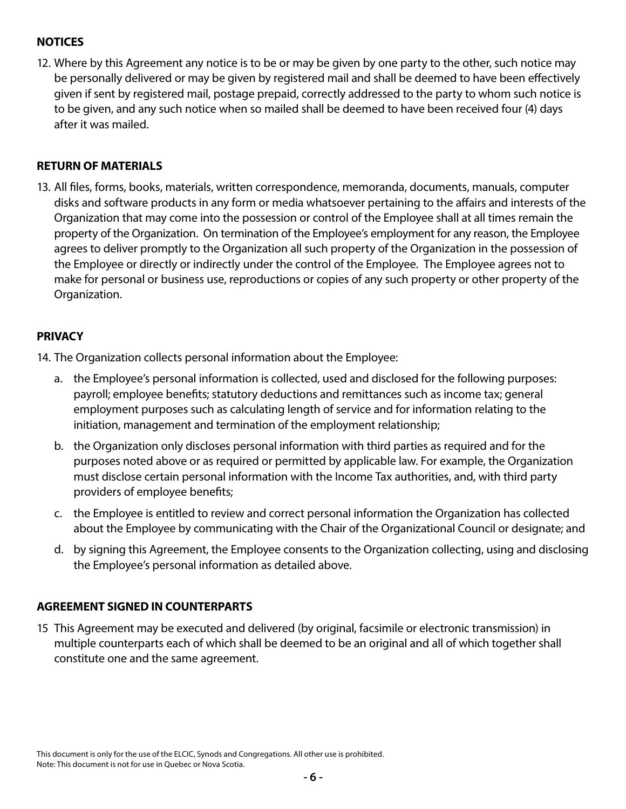# **NOTICES**

12. Where by this Agreement any notice is to be or may be given by one party to the other, such notice may be personally delivered or may be given by registered mail and shall be deemed to have been effectively given if sent by registered mail, postage prepaid, correctly addressed to the party to whom such notice is to be given, and any such notice when so mailed shall be deemed to have been received four (4) days after it was mailed.

### **RETURN OF MATERIALS**

13. All files, forms, books, materials, written correspondence, memoranda, documents, manuals, computer disks and software products in any form or media whatsoever pertaining to the affairs and interests of the Organization that may come into the possession or control of the Employee shall at all times remain the property of the Organization. On termination of the Employee's employment for any reason, the Employee agrees to deliver promptly to the Organization all such property of the Organization in the possession of the Employee or directly or indirectly under the control of the Employee. The Employee agrees not to make for personal or business use, reproductions or copies of any such property or other property of the Organization.

#### **PRIVACY**

14. The Organization collects personal information about the Employee:

- a. the Employee's personal information is collected, used and disclosed for the following purposes: payroll; employee benefits; statutory deductions and remittances such as income tax; general employment purposes such as calculating length of service and for information relating to the initiation, management and termination of the employment relationship;
- b. the Organization only discloses personal information with third parties as required and for the purposes noted above or as required or permitted by applicable law. For example, the Organization must disclose certain personal information with the Income Tax authorities, and, with third party providers of employee benefits;
- c. the Employee is entitled to review and correct personal information the Organization has collected about the Employee by communicating with the Chair of the Organizational Council or designate; and
- d. by signing this Agreement, the Employee consents to the Organization collecting, using and disclosing the Employee's personal information as detailed above.

## **AGREEMENT SIGNED IN COUNTERPARTS**

15 This Agreement may be executed and delivered (by original, facsimile or electronic transmission) in multiple counterparts each of which shall be deemed to be an original and all of which together shall constitute one and the same agreement.